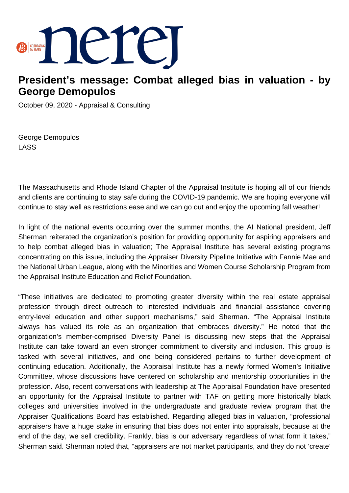

## **President's message: Combat alleged bias in valuation - by George Demopulos**

October 09, 2020 - Appraisal & Consulting

George Demopulos LASS

The Massachusetts and Rhode Island Chapter of the Appraisal Institute is hoping all of our friends and clients are continuing to stay safe during the COVID-19 pandemic. We are hoping everyone will continue to stay well as restrictions ease and we can go out and enjoy the upcoming fall weather!

In light of the national events occurring over the summer months, the AI National president, Jeff Sherman reiterated the organization's position for providing opportunity for aspiring appraisers and to help combat alleged bias in valuation; The Appraisal Institute has several existing programs concentrating on this issue, including the Appraiser Diversity Pipeline Initiative with Fannie Mae and the National Urban League, along with the Minorities and Women Course Scholarship Program from the Appraisal Institute Education and Relief Foundation.

"These initiatives are dedicated to promoting greater diversity within the real estate appraisal profession through direct outreach to interested individuals and financial assistance covering entry-level education and other support mechanisms," said Sherman. "The Appraisal Institute always has valued its role as an organization that embraces diversity." He noted that the organization's member-comprised Diversity Panel is discussing new steps that the Appraisal Institute can take toward an even stronger commitment to diversity and inclusion. This group is tasked with several initiatives, and one being considered pertains to further development of continuing education. Additionally, the Appraisal Institute has a newly formed Women's Initiative Committee, whose discussions have centered on scholarship and mentorship opportunities in the profession. Also, recent conversations with leadership at The Appraisal Foundation have presented an opportunity for the Appraisal Institute to partner with TAF on getting more historically black colleges and universities involved in the undergraduate and graduate review program that the Appraiser Qualifications Board has established. Regarding alleged bias in valuation, "professional appraisers have a huge stake in ensuring that bias does not enter into appraisals, because at the end of the day, we sell credibility. Frankly, bias is our adversary regardless of what form it takes," Sherman said. Sherman noted that, "appraisers are not market participants, and they do not 'create'